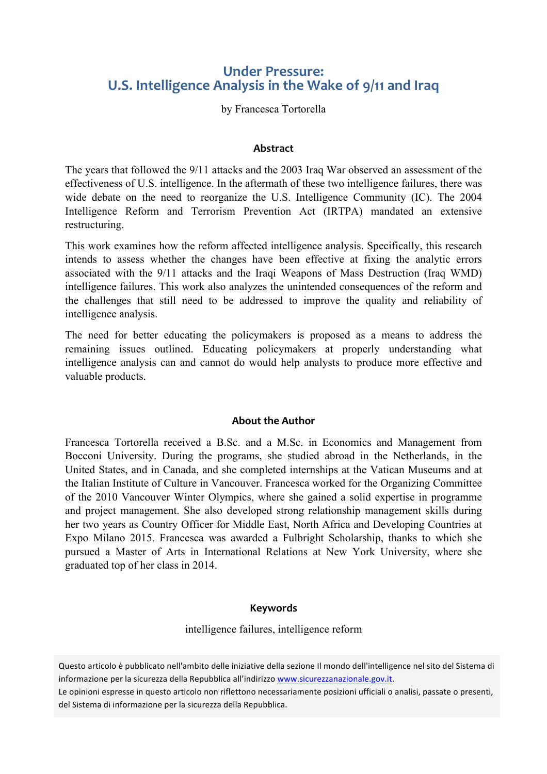# **Under Pressure: U.S. Intelligence Analysis in the Wake of 9/11 and Iraq**

by Francesca Tortorella

#### **Abstract**

The years that followed the 9/11 attacks and the 2003 Iraq War observed an assessment of the effectiveness of U.S. intelligence. In the aftermath of these two intelligence failures, there was wide debate on the need to reorganize the U.S. Intelligence Community (IC). The 2004 Intelligence Reform and Terrorism Prevention Act (IRTPA) mandated an extensive restructuring.

This work examines how the reform affected intelligence analysis. Specifically, this research intends to assess whether the changes have been effective at fixing the analytic errors associated with the 9/11 attacks and the Iraqi Weapons of Mass Destruction (Iraq WMD) intelligence failures. This work also analyzes the unintended consequences of the reform and the challenges that still need to be addressed to improve the quality and reliability of intelligence analysis.

The need for better educating the policymakers is proposed as a means to address the remaining issues outlined. Educating policymakers at properly understanding what intelligence analysis can and cannot do would help analysts to produce more effective and valuable products.

#### **About the Author**

Francesca Tortorella received a B.Sc. and a M.Sc. in Economics and Management from Bocconi University. During the programs, she studied abroad in the Netherlands, in the United States, and in Canada, and she completed internships at the Vatican Museums and at the Italian Institute of Culture in Vancouver. Francesca worked for the Organizing Committee of the 2010 Vancouver Winter Olympics, where she gained a solid expertise in programme and project management. She also developed strong relationship management skills during her two years as Country Officer for Middle East, North Africa and Developing Countries at Expo Milano 2015. Francesca was awarded a Fulbright Scholarship, thanks to which she pursued a Master of Arts in International Relations at New York University, where she graduated top of her class in 2014.

#### **Keywords**

intelligence failures, intelligence reform

Questo articolo è pubblicato nell'ambito delle iniziative della sezione Il mondo dell'intelligence nel sito del Sistema di informazione per la sicurezza della Repubblica all'indirizzo www.sicurezzanazionale.gov.it.

Le opinioni espresse in questo articolo non riflettono necessariamente posizioni ufficiali o analisi, passate o presenti, del Sistema di informazione per la sicurezza della Repubblica.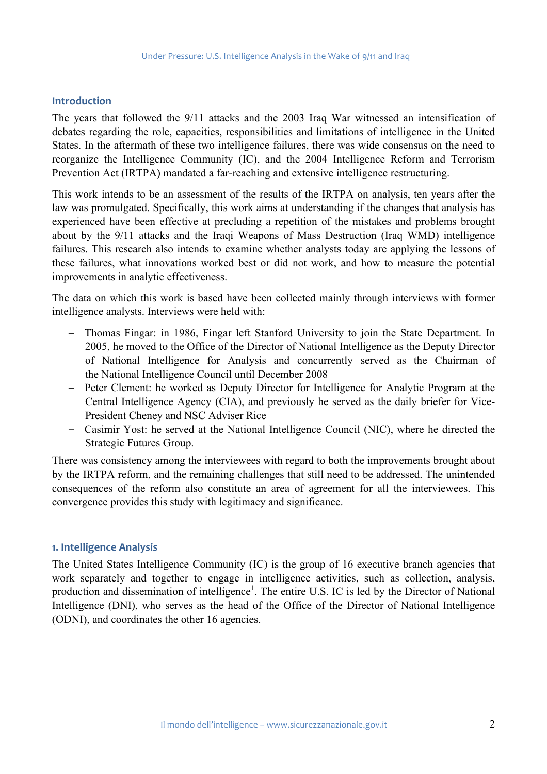#### **Introduction**

The years that followed the 9/11 attacks and the 2003 Iraq War witnessed an intensification of debates regarding the role, capacities, responsibilities and limitations of intelligence in the United States. In the aftermath of these two intelligence failures, there was wide consensus on the need to reorganize the Intelligence Community (IC), and the 2004 Intelligence Reform and Terrorism Prevention Act (IRTPA) mandated a far-reaching and extensive intelligence restructuring.

This work intends to be an assessment of the results of the IRTPA on analysis, ten years after the law was promulgated. Specifically, this work aims at understanding if the changes that analysis has experienced have been effective at precluding a repetition of the mistakes and problems brought about by the 9/11 attacks and the Iraqi Weapons of Mass Destruction (Iraq WMD) intelligence failures. This research also intends to examine whether analysts today are applying the lessons of these failures, what innovations worked best or did not work, and how to measure the potential improvements in analytic effectiveness.

The data on which this work is based have been collected mainly through interviews with former intelligence analysts. Interviews were held with:

- *–* Thomas Fingar: in 1986, Fingar left Stanford University to join the State Department. In 2005, he moved to the Office of the Director of National Intelligence as the Deputy Director of National Intelligence for Analysis and concurrently served as the Chairman of the National Intelligence Council until December 2008
- *–* Peter Clement: he worked as Deputy Director for Intelligence for Analytic Program at the Central Intelligence Agency (CIA), and previously he served as the daily briefer for Vice-President Cheney and NSC Adviser Rice
- *–* Casimir Yost: he served at the National Intelligence Council (NIC), where he directed the Strategic Futures Group.

There was consistency among the interviewees with regard to both the improvements brought about by the IRTPA reform, and the remaining challenges that still need to be addressed. The unintended consequences of the reform also constitute an area of agreement for all the interviewees. This convergence provides this study with legitimacy and significance.

#### **1. Intelligence Analysis**

The United States Intelligence Community (IC) is the group of 16 executive branch agencies that work separately and together to engage in intelligence activities, such as collection, analysis, production and dissemination of intelligence<sup>1</sup>. The entire U.S. IC is led by the Director of National Intelligence (DNI), who serves as the head of the Office of the Director of National Intelligence (ODNI), and coordinates the other 16 agencies.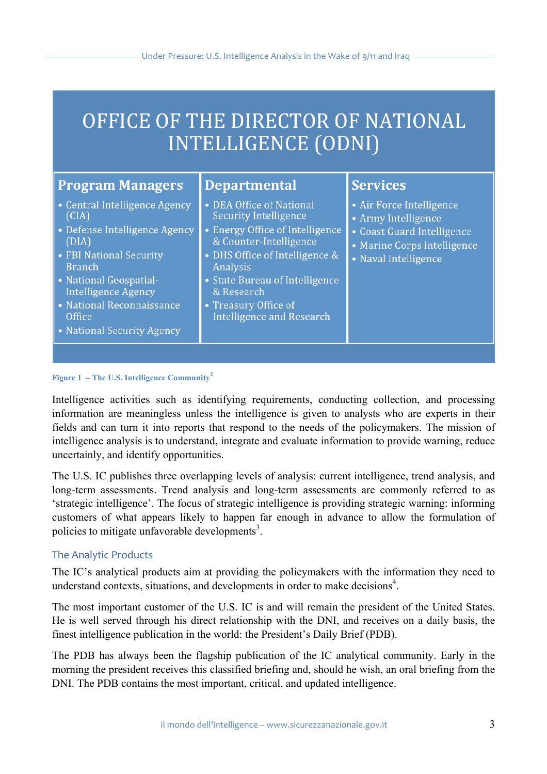# OFFICE OF THE DIRECTOR OF NATIONAL **INTELLIGENCE (ODNI)**

| <b>Program Managers</b>                                                                                                                                                                                                                                   | <b>Departmental</b>                                                                                                                                                                                                                                                      | <b>Services</b>                                                                                                                      |
|-----------------------------------------------------------------------------------------------------------------------------------------------------------------------------------------------------------------------------------------------------------|--------------------------------------------------------------------------------------------------------------------------------------------------------------------------------------------------------------------------------------------------------------------------|--------------------------------------------------------------------------------------------------------------------------------------|
| • Central Intelligence Agency<br>(CIA)<br>• Defense Intelligence Agency<br>(DIA)<br>• FBI National Security<br><b>Branch</b><br>• National Geospatial-<br><b>Intelligence Agency</b><br>• National Reconnaissance<br>Office<br>• National Security Agency | • DEA Office of National<br><b>Security Intelligence</b><br>• Energy Office of Intelligence<br>& Counter-Intelligence<br>• DHS Office of Intelligence &<br>Analysis<br>• State Bureau of Intelligence<br>& Research<br>• Treasury Office of<br>Intelligence and Research | • Air Force Intelligence<br>• Army Intelligence<br>• Coast Guard Intelligence<br>• Marine Corps Intelligence<br>• Naval Intelligence |

**Figure 1 – The U.S. Intelligence Community<sup>2</sup>**

Intelligence activities such as identifying requirements, conducting collection, and processing information are meaningless unless the intelligence is given to analysts who are experts in their fields and can turn it into reports that respond to the needs of the policymakers. The mission of intelligence analysis is to understand, integrate and evaluate information to provide warning, reduce uncertainly, and identify opportunities.

The U.S. IC publishes three overlapping levels of analysis: current intelligence, trend analysis, and long-term assessments. Trend analysis and long-term assessments are commonly referred to as 'strategic intelligence'. The focus of strategic intelligence is providing strategic warning: informing customers of what appears likely to happen far enough in advance to allow the formulation of policies to mitigate unfavorable developments<sup>3</sup>.

# The Analytic Products

The IC's analytical products aim at providing the policymakers with the information they need to understand contexts, situations, and developments in order to make decisions<sup>4</sup>.

The most important customer of the U.S. IC is and will remain the president of the United States. He is well served through his direct relationship with the DNI, and receives on a daily basis, the finest intelligence publication in the world: the President's Daily Brief (PDB).

The PDB has always been the flagship publication of the IC analytical community. Early in the morning the president receives this classified briefing and, should he wish, an oral briefing from the DNI. The PDB contains the most important, critical, and updated intelligence.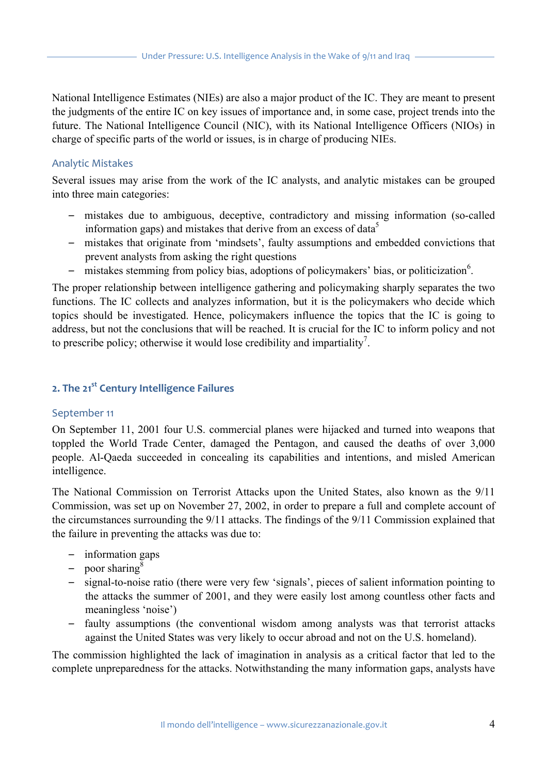National Intelligence Estimates (NIEs) are also a major product of the IC. They are meant to present the judgments of the entire IC on key issues of importance and, in some case, project trends into the future. The National Intelligence Council (NIC), with its National Intelligence Officers (NIOs) in charge of specific parts of the world or issues, is in charge of producing NIEs.

#### Analytic Mistakes

Several issues may arise from the work of the IC analysts, and analytic mistakes can be grouped into three main categories:

- *–* mistakes due to ambiguous, deceptive, contradictory and missing information (so-called information gaps) and mistakes that derive from an excess of data<sup>5</sup>
- *–* mistakes that originate from 'mindsets', faulty assumptions and embedded convictions that prevent analysts from asking the right questions
- mistakes stemming from policy bias, adoptions of policymakers' bias, or politicization<sup>6</sup>.

The proper relationship between intelligence gathering and policymaking sharply separates the two functions. The IC collects and analyzes information, but it is the policymakers who decide which topics should be investigated. Hence, policymakers influence the topics that the IC is going to address, but not the conclusions that will be reached. It is crucial for the IC to inform policy and not to prescribe policy; otherwise it would lose credibility and impartiality<sup>7</sup>.

# **2. The 21st Century Intelligence Failures**

#### September 11

On September 11, 2001 four U.S. commercial planes were hijacked and turned into weapons that toppled the World Trade Center, damaged the Pentagon, and caused the deaths of over 3,000 people. Al-Qaeda succeeded in concealing its capabilities and intentions, and misled American intelligence.

The National Commission on Terrorist Attacks upon the United States, also known as the 9/11 Commission, was set up on November 27, 2002, in order to prepare a full and complete account of the circumstances surrounding the 9/11 attacks. The findings of the 9/11 Commission explained that the failure in preventing the attacks was due to:

- *–* information gaps
- *–* poor sharing<sup>8</sup>
- *–* signal-to-noise ratio (there were very few 'signals', pieces of salient information pointing to the attacks the summer of 2001, and they were easily lost among countless other facts and meaningless 'noise')
- *–* faulty assumptions (the conventional wisdom among analysts was that terrorist attacks against the United States was very likely to occur abroad and not on the U.S. homeland).

The commission highlighted the lack of imagination in analysis as a critical factor that led to the complete unpreparedness for the attacks. Notwithstanding the many information gaps, analysts have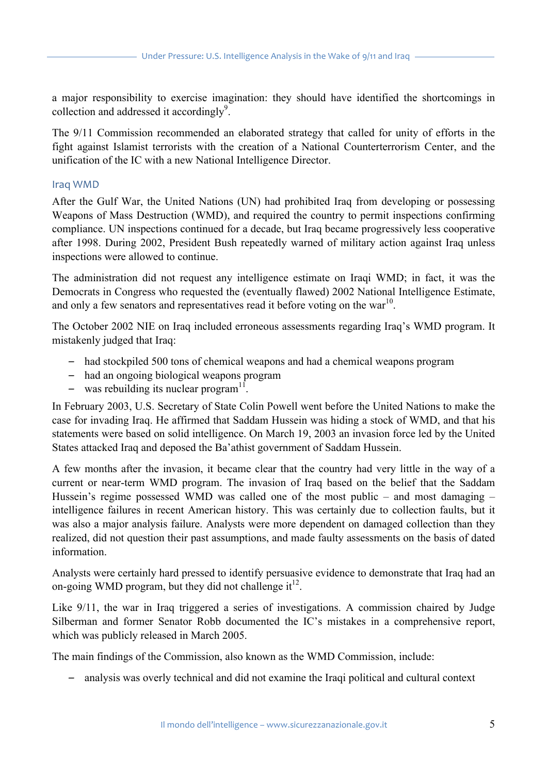a major responsibility to exercise imagination: they should have identified the shortcomings in collection and addressed it accordingly<sup>9</sup>.

The 9/11 Commission recommended an elaborated strategy that called for unity of efforts in the fight against Islamist terrorists with the creation of a National Counterterrorism Center, and the unification of the IC with a new National Intelligence Director.

#### Iraq WMD

After the Gulf War, the United Nations (UN) had prohibited Iraq from developing or possessing Weapons of Mass Destruction (WMD), and required the country to permit inspections confirming compliance. UN inspections continued for a decade, but Iraq became progressively less cooperative after 1998. During 2002, President Bush repeatedly warned of military action against Iraq unless inspections were allowed to continue.

The administration did not request any intelligence estimate on Iraqi WMD; in fact, it was the Democrats in Congress who requested the (eventually flawed) 2002 National Intelligence Estimate, and only a few senators and representatives read it before voting on the war<sup>10</sup>.

The October 2002 NIE on Iraq included erroneous assessments regarding Iraq's WMD program. It mistakenly judged that Iraq:

- *–* had stockpiled 500 tons of chemical weapons and had a chemical weapons program
- *–* had an ongoing biological weapons program
- $-$  was rebuilding its nuclear program<sup>11</sup>.

In February 2003, U.S. Secretary of State Colin Powell went before the United Nations to make the case for invading Iraq. He affirmed that Saddam Hussein was hiding a stock of WMD, and that his statements were based on solid intelligence. On March 19, 2003 an invasion force led by the United States attacked Iraq and deposed the Ba'athist government of Saddam Hussein.

A few months after the invasion, it became clear that the country had very little in the way of a current or near-term WMD program. The invasion of Iraq based on the belief that the Saddam Hussein's regime possessed WMD was called one of the most public – and most damaging – intelligence failures in recent American history. This was certainly due to collection faults, but it was also a major analysis failure. Analysts were more dependent on damaged collection than they realized, did not question their past assumptions, and made faulty assessments on the basis of dated information.

Analysts were certainly hard pressed to identify persuasive evidence to demonstrate that Iraq had an on-going WMD program, but they did not challenge  $it^{12}$ .

Like 9/11, the war in Iraq triggered a series of investigations. A commission chaired by Judge Silberman and former Senator Robb documented the IC's mistakes in a comprehensive report, which was publicly released in March 2005.

The main findings of the Commission, also known as the WMD Commission, include:

*–* analysis was overly technical and did not examine the Iraqi political and cultural context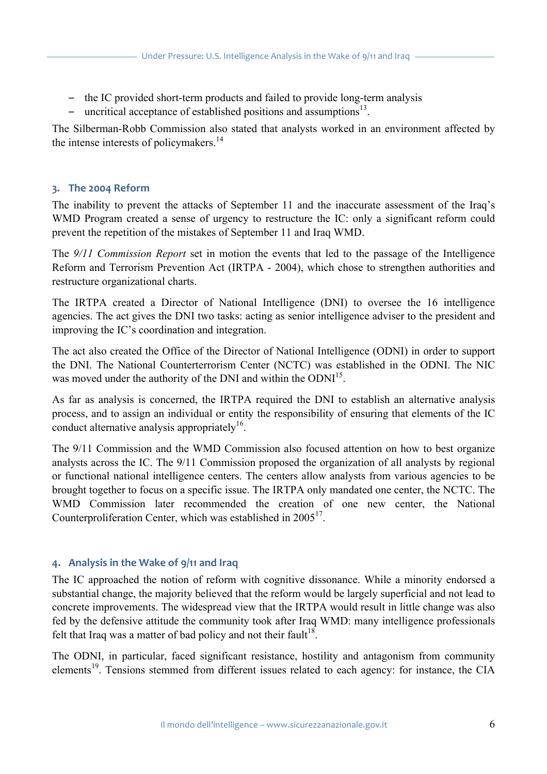- *–* the IC provided short-term products and failed to provide long-term analysis
- uncritical acceptance of established positions and assumptions<sup>13</sup>.

The Silberman-Robb Commission also stated that analysts worked in an environment affected by the intense interests of policymakers. $^{14}$ 

# **3. The 2004 Reform**

The inability to prevent the attacks of September 11 and the inaccurate assessment of the Iraq's WMD Program created a sense of urgency to restructure the IC: only a significant reform could prevent the repetition of the mistakes of September 11 and Iraq WMD.

The *9/11 Commission Report* set in motion the events that led to the passage of the Intelligence Reform and Terrorism Prevention Act (IRTPA - 2004), which chose to strengthen authorities and restructure organizational charts.

The IRTPA created a Director of National Intelligence (DNI) to oversee the 16 intelligence agencies. The act gives the DNI two tasks: acting as senior intelligence adviser to the president and improving the IC's coordination and integration.

The act also created the Office of the Director of National Intelligence (ODNI) in order to support the DNI. The National Counterterrorism Center (NCTC) was established in the ODNI. The NIC was moved under the authority of the DNI and within the ODNI<sup>15</sup>.

As far as analysis is concerned, the IRTPA required the DNI to establish an alternative analysis process, and to assign an individual or entity the responsibility of ensuring that elements of the IC conduct alternative analysis appropriately<sup>16</sup>.

The 9/11 Commission and the WMD Commission also focused attention on how to best organize analysts across the IC. The 9/11 Commission proposed the organization of all analysts by regional or functional national intelligence centers. The centers allow analysts from various agencies to be brought together to focus on a specific issue. The IRTPA only mandated one center, the NCTC. The WMD Commission later recommended the creation of one new center, the National Counterproliferation Center, which was established in  $2005<sup>17</sup>$ .

# **4. Analysis in the Wake of 9/11 and Iraq**

The IC approached the notion of reform with cognitive dissonance. While a minority endorsed a substantial change, the majority believed that the reform would be largely superficial and not lead to concrete improvements. The widespread view that the IRTPA would result in little change was also fed by the defensive attitude the community took after Iraq WMD: many intelligence professionals felt that Iraq was a matter of bad policy and not their fault<sup>18</sup>.

The ODNI, in particular, faced significant resistance, hostility and antagonism from community elements<sup>19</sup>. Tensions stemmed from different issues related to each agency: for instance, the CIA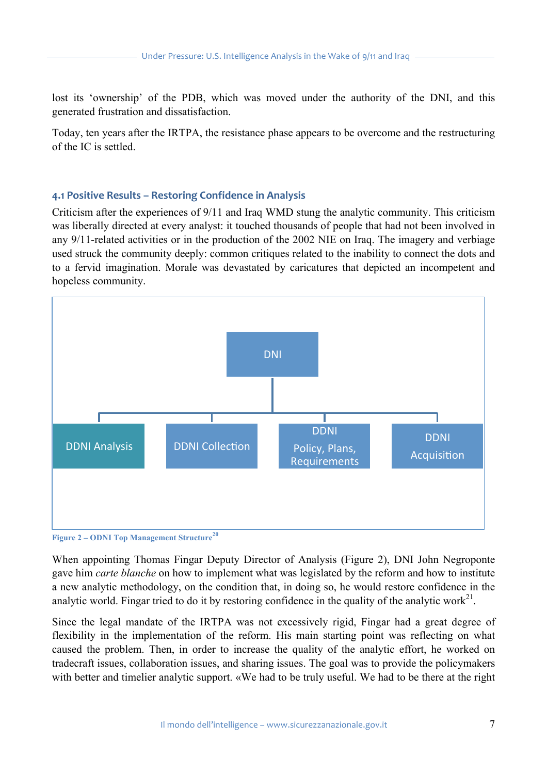lost its 'ownership' of the PDB, which was moved under the authority of the DNI, and this generated frustration and dissatisfaction.

Today, ten years after the IRTPA, the resistance phase appears to be overcome and the restructuring of the IC is settled.

# **4.1 Positive Results – Restoring Confidence in Analysis**

Criticism after the experiences of 9/11 and Iraq WMD stung the analytic community. This criticism was liberally directed at every analyst: it touched thousands of people that had not been involved in any 9/11-related activities or in the production of the 2002 NIE on Iraq. The imagery and verbiage used struck the community deeply: common critiques related to the inability to connect the dots and to a fervid imagination. Morale was devastated by caricatures that depicted an incompetent and hopeless community.





When appointing Thomas Fingar Deputy Director of Analysis (Figure 2), DNI John Negroponte gave him *carte blanche* on how to implement what was legislated by the reform and how to institute a new analytic methodology, on the condition that, in doing so, he would restore confidence in the analytic world. Fingar tried to do it by restoring confidence in the quality of the analytic work<sup>21</sup>.

Since the legal mandate of the IRTPA was not excessively rigid, Fingar had a great degree of flexibility in the implementation of the reform. His main starting point was reflecting on what caused the problem. Then, in order to increase the quality of the analytic effort, he worked on tradecraft issues, collaboration issues, and sharing issues. The goal was to provide the policymakers with better and timelier analytic support. «We had to be truly useful. We had to be there at the right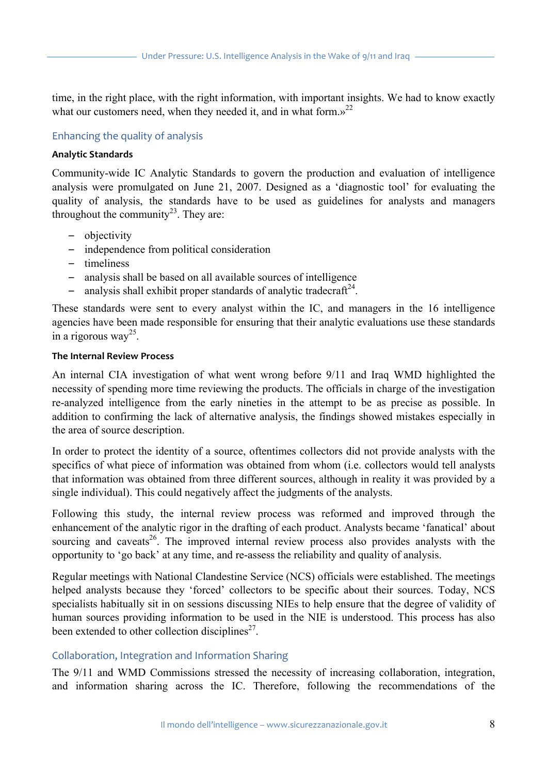time, in the right place, with the right information, with important insights. We had to know exactly what our customers need, when they needed it, and in what form. $v^{22}$ 

#### Enhancing the quality of analysis

#### **Analytic Standards**

Community-wide IC Analytic Standards to govern the production and evaluation of intelligence analysis were promulgated on June 21, 2007. Designed as a 'diagnostic tool' for evaluating the quality of analysis, the standards have to be used as guidelines for analysts and managers throughout the community<sup>23</sup>. They are:

- *–* objectivity
- *–* independence from political consideration
- *–* timeliness
- *–* analysis shall be based on all available sources of intelligence
- *–* analysis shall exhibit proper standards of analytic tradecraft<sup>24</sup>.

These standards were sent to every analyst within the IC, and managers in the 16 intelligence agencies have been made responsible for ensuring that their analytic evaluations use these standards in a rigorous way<sup>25</sup>.

#### **The Internal Review Process**

An internal CIA investigation of what went wrong before 9/11 and Iraq WMD highlighted the necessity of spending more time reviewing the products. The officials in charge of the investigation re-analyzed intelligence from the early nineties in the attempt to be as precise as possible. In addition to confirming the lack of alternative analysis, the findings showed mistakes especially in the area of source description.

In order to protect the identity of a source, oftentimes collectors did not provide analysts with the specifics of what piece of information was obtained from whom (i.e. collectors would tell analysts that information was obtained from three different sources, although in reality it was provided by a single individual). This could negatively affect the judgments of the analysts.

Following this study, the internal review process was reformed and improved through the enhancement of the analytic rigor in the drafting of each product. Analysts became 'fanatical' about sourcing and caveats<sup>26</sup>. The improved internal review process also provides analysts with the opportunity to 'go back' at any time, and re-assess the reliability and quality of analysis.

Regular meetings with National Clandestine Service (NCS) officials were established. The meetings helped analysts because they 'forced' collectors to be specific about their sources. Today, NCS specialists habitually sit in on sessions discussing NIEs to help ensure that the degree of validity of human sources providing information to be used in the NIE is understood. This process has also been extended to other collection disciplines<sup> $27$ </sup>.

#### Collaboration, Integration and Information Sharing

The 9/11 and WMD Commissions stressed the necessity of increasing collaboration, integration, and information sharing across the IC. Therefore, following the recommendations of the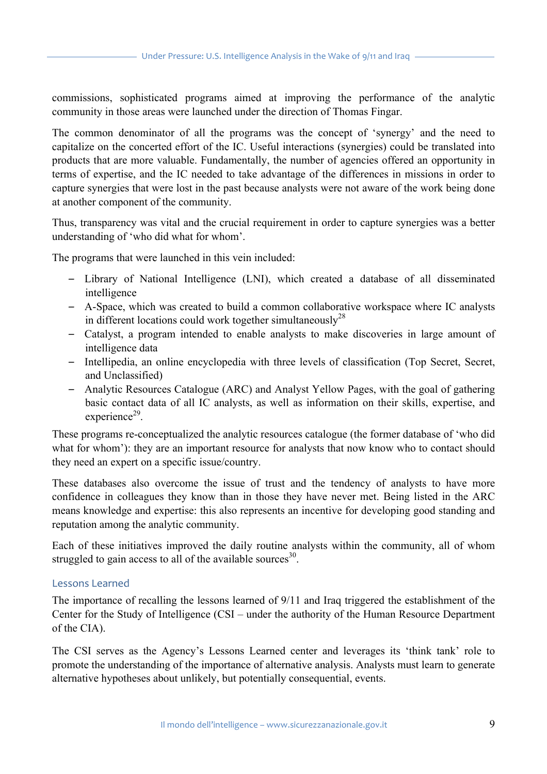commissions, sophisticated programs aimed at improving the performance of the analytic community in those areas were launched under the direction of Thomas Fingar.

The common denominator of all the programs was the concept of 'synergy' and the need to capitalize on the concerted effort of the IC. Useful interactions (synergies) could be translated into products that are more valuable. Fundamentally, the number of agencies offered an opportunity in terms of expertise, and the IC needed to take advantage of the differences in missions in order to capture synergies that were lost in the past because analysts were not aware of the work being done at another component of the community.

Thus, transparency was vital and the crucial requirement in order to capture synergies was a better understanding of 'who did what for whom'.

The programs that were launched in this vein included:

- *–* Library of National Intelligence (LNI), which created a database of all disseminated intelligence
- *–* A-Space, which was created to build a common collaborative workspace where IC analysts in different locations could work together simultaneously<sup>28</sup>
- *–* Catalyst, a program intended to enable analysts to make discoveries in large amount of intelligence data
- *–* Intellipedia, an online encyclopedia with three levels of classification (Top Secret, Secret, and Unclassified)
- *–* Analytic Resources Catalogue (ARC) and Analyst Yellow Pages, with the goal of gathering basic contact data of all IC analysts, as well as information on their skills, expertise, and  $experience<sup>29</sup>$ .

These programs re-conceptualized the analytic resources catalogue (the former database of 'who did what for whom'): they are an important resource for analysts that now know who to contact should they need an expert on a specific issue/country.

These databases also overcome the issue of trust and the tendency of analysts to have more confidence in colleagues they know than in those they have never met. Being listed in the ARC means knowledge and expertise: this also represents an incentive for developing good standing and reputation among the analytic community.

Each of these initiatives improved the daily routine analysts within the community, all of whom struggled to gain access to all of the available sources $^{30}$ .

# Lessons Learned

The importance of recalling the lessons learned of 9/11 and Iraq triggered the establishment of the Center for the Study of Intelligence (CSI – under the authority of the Human Resource Department of the CIA).

The CSI serves as the Agency's Lessons Learned center and leverages its 'think tank' role to promote the understanding of the importance of alternative analysis. Analysts must learn to generate alternative hypotheses about unlikely, but potentially consequential, events.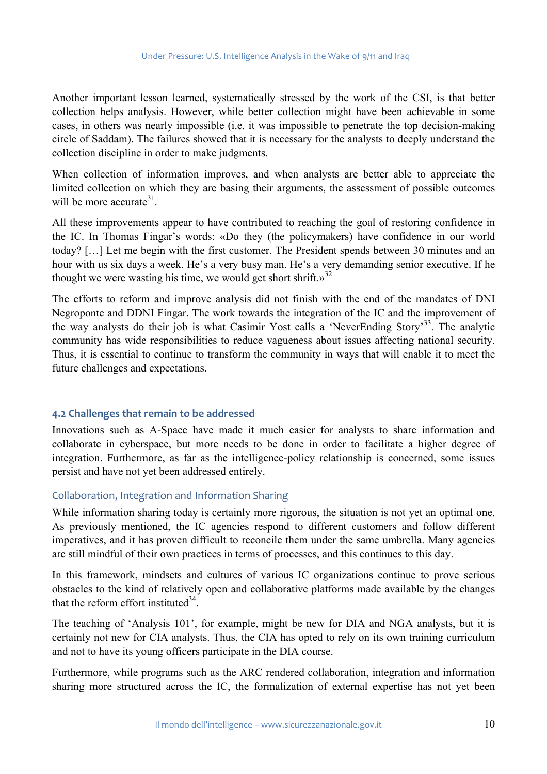Another important lesson learned, systematically stressed by the work of the CSI, is that better collection helps analysis. However, while better collection might have been achievable in some cases, in others was nearly impossible (i.e. it was impossible to penetrate the top decision-making circle of Saddam). The failures showed that it is necessary for the analysts to deeply understand the collection discipline in order to make judgments.

When collection of information improves, and when analysts are better able to appreciate the limited collection on which they are basing their arguments, the assessment of possible outcomes will be more accurate  $31$ .

All these improvements appear to have contributed to reaching the goal of restoring confidence in the IC. In Thomas Fingar's words: «Do they (the policymakers) have confidence in our world today? […] Let me begin with the first customer. The President spends between 30 minutes and an hour with us six days a week. He's a very busy man. He's a very demanding senior executive. If he thought we were wasting his time, we would get short shrift. $y^{32}$ 

The efforts to reform and improve analysis did not finish with the end of the mandates of DNI Negroponte and DDNI Fingar. The work towards the integration of the IC and the improvement of the way analysts do their job is what Casimir Yost calls a 'NeverEnding Story'33. The analytic community has wide responsibilities to reduce vagueness about issues affecting national security. Thus, it is essential to continue to transform the community in ways that will enable it to meet the future challenges and expectations.

# 4.2 Challenges that remain to be addressed

Innovations such as A-Space have made it much easier for analysts to share information and collaborate in cyberspace, but more needs to be done in order to facilitate a higher degree of integration. Furthermore, as far as the intelligence-policy relationship is concerned, some issues persist and have not yet been addressed entirely.

# Collaboration, Integration and Information Sharing

While information sharing today is certainly more rigorous, the situation is not yet an optimal one. As previously mentioned, the IC agencies respond to different customers and follow different imperatives, and it has proven difficult to reconcile them under the same umbrella. Many agencies are still mindful of their own practices in terms of processes, and this continues to this day.

In this framework, mindsets and cultures of various IC organizations continue to prove serious obstacles to the kind of relatively open and collaborative platforms made available by the changes that the reform effort instituted  $34$ .

The teaching of 'Analysis 101', for example, might be new for DIA and NGA analysts, but it is certainly not new for CIA analysts. Thus, the CIA has opted to rely on its own training curriculum and not to have its young officers participate in the DIA course.

Furthermore, while programs such as the ARC rendered collaboration, integration and information sharing more structured across the IC, the formalization of external expertise has not yet been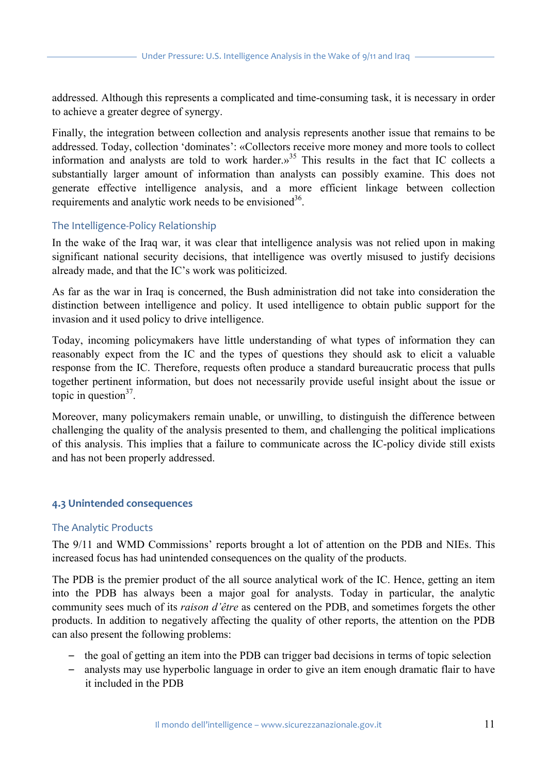addressed. Although this represents a complicated and time-consuming task, it is necessary in order to achieve a greater degree of synergy.

Finally, the integration between collection and analysis represents another issue that remains to be addressed. Today, collection 'dominates': «Collectors receive more money and more tools to collect information and analysts are told to work harder.»<sup>35</sup> This results in the fact that IC collects a substantially larger amount of information than analysts can possibly examine. This does not generate effective intelligence analysis, and a more efficient linkage between collection requirements and analytic work needs to be envisioned<sup>36</sup>.

#### The Intelligence-Policy Relationship

In the wake of the Iraq war, it was clear that intelligence analysis was not relied upon in making significant national security decisions, that intelligence was overtly misused to justify decisions already made, and that the IC's work was politicized.

As far as the war in Iraq is concerned, the Bush administration did not take into consideration the distinction between intelligence and policy. It used intelligence to obtain public support for the invasion and it used policy to drive intelligence.

Today, incoming policymakers have little understanding of what types of information they can reasonably expect from the IC and the types of questions they should ask to elicit a valuable response from the IC. Therefore, requests often produce a standard bureaucratic process that pulls together pertinent information, but does not necessarily provide useful insight about the issue or topic in question $3^7$ .

Moreover, many policymakers remain unable, or unwilling, to distinguish the difference between challenging the quality of the analysis presented to them, and challenging the political implications of this analysis. This implies that a failure to communicate across the IC-policy divide still exists and has not been properly addressed.

# **4.3 Unintended consequences**

#### The Analytic Products

The 9/11 and WMD Commissions' reports brought a lot of attention on the PDB and NIEs. This increased focus has had unintended consequences on the quality of the products.

The PDB is the premier product of the all source analytical work of the IC. Hence, getting an item into the PDB has always been a major goal for analysts. Today in particular, the analytic community sees much of its *raison d'être* as centered on the PDB, and sometimes forgets the other products. In addition to negatively affecting the quality of other reports, the attention on the PDB can also present the following problems:

- *–* the goal of getting an item into the PDB can trigger bad decisions in terms of topic selection
- *–* analysts may use hyperbolic language in order to give an item enough dramatic flair to have it included in the PDB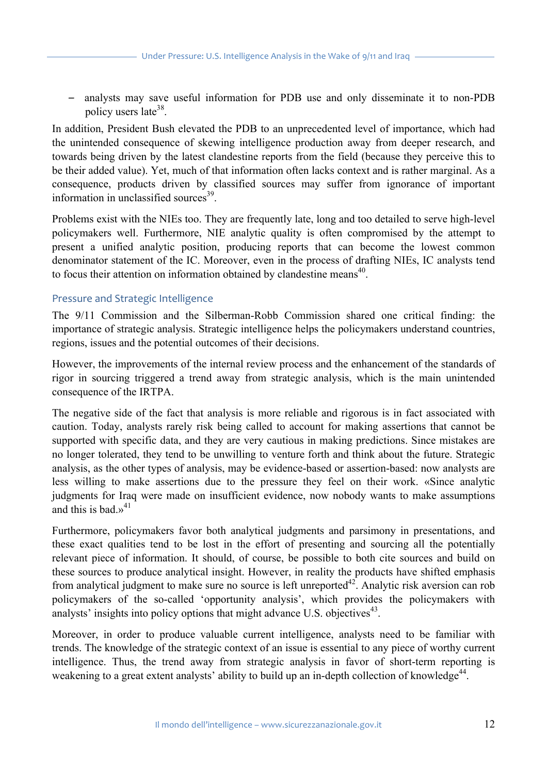*–* analysts may save useful information for PDB use and only disseminate it to non-PDB policy users late38.

In addition, President Bush elevated the PDB to an unprecedented level of importance, which had the unintended consequence of skewing intelligence production away from deeper research, and towards being driven by the latest clandestine reports from the field (because they perceive this to be their added value). Yet, much of that information often lacks context and is rather marginal. As a consequence, products driven by classified sources may suffer from ignorance of important information in unclassified sources $^{39}$ .

Problems exist with the NIEs too. They are frequently late, long and too detailed to serve high-level policymakers well. Furthermore, NIE analytic quality is often compromised by the attempt to present a unified analytic position, producing reports that can become the lowest common denominator statement of the IC. Moreover, even in the process of drafting NIEs, IC analysts tend to focus their attention on information obtained by clandestine means<sup>40</sup>.

#### Pressure and Strategic Intelligence

The 9/11 Commission and the Silberman-Robb Commission shared one critical finding: the importance of strategic analysis. Strategic intelligence helps the policymakers understand countries, regions, issues and the potential outcomes of their decisions.

However, the improvements of the internal review process and the enhancement of the standards of rigor in sourcing triggered a trend away from strategic analysis, which is the main unintended consequence of the IRTPA.

The negative side of the fact that analysis is more reliable and rigorous is in fact associated with caution. Today, analysts rarely risk being called to account for making assertions that cannot be supported with specific data, and they are very cautious in making predictions. Since mistakes are no longer tolerated, they tend to be unwilling to venture forth and think about the future. Strategic analysis, as the other types of analysis, may be evidence-based or assertion-based: now analysts are less willing to make assertions due to the pressure they feel on their work. «Since analytic judgments for Iraq were made on insufficient evidence, now nobody wants to make assumptions and this is bad  $v^{41}$ 

Furthermore, policymakers favor both analytical judgments and parsimony in presentations, and these exact qualities tend to be lost in the effort of presenting and sourcing all the potentially relevant piece of information. It should, of course, be possible to both cite sources and build on these sources to produce analytical insight. However, in reality the products have shifted emphasis from analytical judgment to make sure no source is left unreported<sup>42</sup>. Analytic risk aversion can rob policymakers of the so-called 'opportunity analysis', which provides the policymakers with analysts' insights into policy options that might advance U.S. objectives<sup>43</sup>.

Moreover, in order to produce valuable current intelligence, analysts need to be familiar with trends. The knowledge of the strategic context of an issue is essential to any piece of worthy current intelligence. Thus, the trend away from strategic analysis in favor of short-term reporting is weakening to a great extent analysts' ability to build up an in-depth collection of knowledge<sup>44</sup>.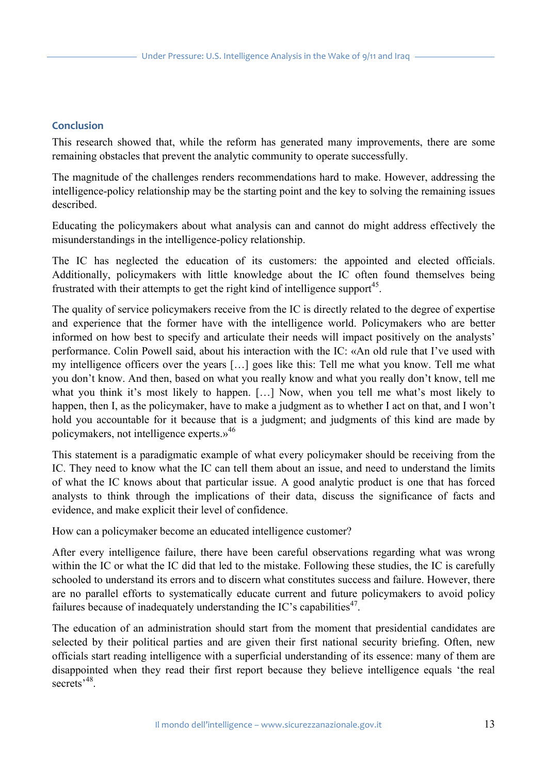#### **Conclusion**

This research showed that, while the reform has generated many improvements, there are some remaining obstacles that prevent the analytic community to operate successfully.

The magnitude of the challenges renders recommendations hard to make. However, addressing the intelligence-policy relationship may be the starting point and the key to solving the remaining issues described.

Educating the policymakers about what analysis can and cannot do might address effectively the misunderstandings in the intelligence-policy relationship.

The IC has neglected the education of its customers: the appointed and elected officials. Additionally, policymakers with little knowledge about the IC often found themselves being frustrated with their attempts to get the right kind of intelligence support<sup>45</sup>.

The quality of service policymakers receive from the IC is directly related to the degree of expertise and experience that the former have with the intelligence world. Policymakers who are better informed on how best to specify and articulate their needs will impact positively on the analysts' performance. Colin Powell said, about his interaction with the IC: «An old rule that I've used with my intelligence officers over the years […] goes like this: Tell me what you know. Tell me what you don't know. And then, based on what you really know and what you really don't know, tell me what you think it's most likely to happen. […] Now, when you tell me what's most likely to happen, then I, as the policymaker, have to make a judgment as to whether I act on that, and I won't hold you accountable for it because that is a judgment; and judgments of this kind are made by policymakers, not intelligence experts.»46

This statement is a paradigmatic example of what every policymaker should be receiving from the IC. They need to know what the IC can tell them about an issue, and need to understand the limits of what the IC knows about that particular issue. A good analytic product is one that has forced analysts to think through the implications of their data, discuss the significance of facts and evidence, and make explicit their level of confidence.

How can a policymaker become an educated intelligence customer?

After every intelligence failure, there have been careful observations regarding what was wrong within the IC or what the IC did that led to the mistake. Following these studies, the IC is carefully schooled to understand its errors and to discern what constitutes success and failure. However, there are no parallel efforts to systematically educate current and future policymakers to avoid policy failures because of inadequately understanding the IC's capabilities<sup>47</sup>.

The education of an administration should start from the moment that presidential candidates are selected by their political parties and are given their first national security briefing. Often, new officials start reading intelligence with a superficial understanding of its essence: many of them are disappointed when they read their first report because they believe intelligence equals 'the real secrets<sup>,48</sup>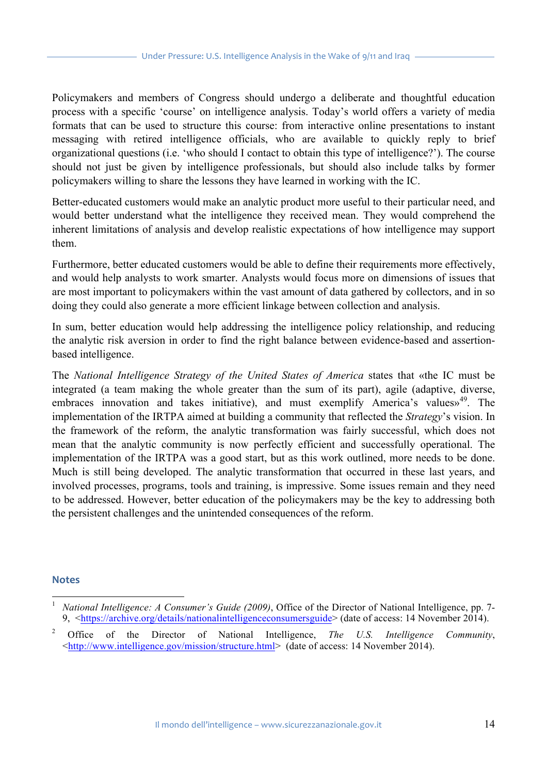Policymakers and members of Congress should undergo a deliberate and thoughtful education process with a specific 'course' on intelligence analysis. Today's world offers a variety of media formats that can be used to structure this course: from interactive online presentations to instant messaging with retired intelligence officials, who are available to quickly reply to brief organizational questions (i.e. 'who should I contact to obtain this type of intelligence?'). The course should not just be given by intelligence professionals, but should also include talks by former policymakers willing to share the lessons they have learned in working with the IC.

Better-educated customers would make an analytic product more useful to their particular need, and would better understand what the intelligence they received mean. They would comprehend the inherent limitations of analysis and develop realistic expectations of how intelligence may support them.

Furthermore, better educated customers would be able to define their requirements more effectively, and would help analysts to work smarter. Analysts would focus more on dimensions of issues that are most important to policymakers within the vast amount of data gathered by collectors, and in so doing they could also generate a more efficient linkage between collection and analysis.

In sum, better education would help addressing the intelligence policy relationship, and reducing the analytic risk aversion in order to find the right balance between evidence-based and assertionbased intelligence.

The *National Intelligence Strategy of the United States of America* states that «the IC must be integrated (a team making the whole greater than the sum of its part), agile (adaptive, diverse, embraces innovation and takes initiative), and must exemplify America's values»<sup>49</sup>. The implementation of the IRTPA aimed at building a community that reflected the *Strategy*'s vision. In the framework of the reform, the analytic transformation was fairly successful, which does not mean that the analytic community is now perfectly efficient and successfully operational. The implementation of the IRTPA was a good start, but as this work outlined, more needs to be done. Much is still being developed. The analytic transformation that occurred in these last years, and involved processes, programs, tools and training, is impressive. Some issues remain and they need to be addressed. However, better education of the policymakers may be the key to addressing both the persistent challenges and the unintended consequences of the reform.

#### **Notes**

 <sup>1</sup> *National Intelligence: A Consumer's Guide (2009)*, Office of the Director of National Intelligence, pp. 7- 9, <https://archive.org/details/nationalintelligenceconsumersguide> (date of access: 14 November 2014).

<sup>2</sup> Office of the Director of National Intelligence, *The U.S. Intelligence Community*, <http://www.intelligence.gov/mission/structure.html> (date of access: 14 November 2014).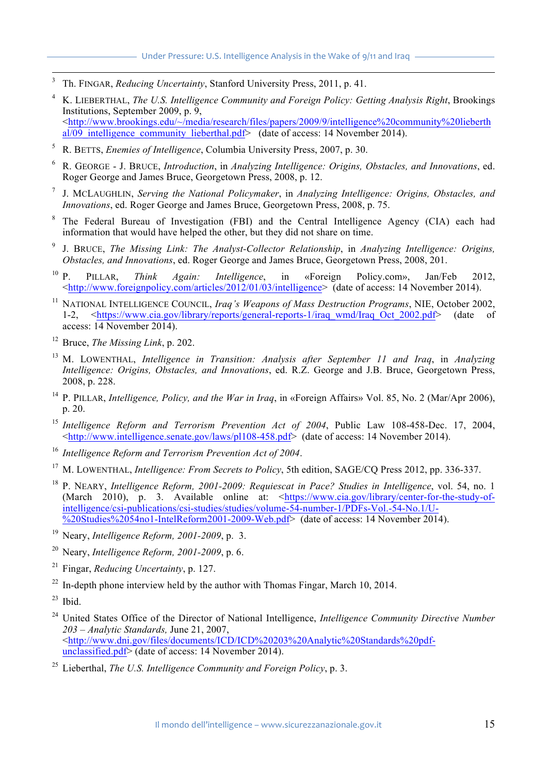- 3 Th. FINGAR, *Reducing Uncertainty*, Stanford University Press, 2011, p. 41.
- <sup>4</sup> K. LIEBERTHAL, *The U.S. Intelligence Community and Foreign Policy: Getting Analysis Right*, Brookings Institutions, September 2009, p. 9, <http://www.brookings.edu/~/media/research/files/papers/2009/9/intelligence%20community%20lieberth  $a\overline{1/09}$  intelligence community lieberthal.pdf> (date of access: 14 November 2014).
- <sup>5</sup> R. BETTS, *Enemies of Intelligence*, Columbia University Press, 2007, p. 30.
- <sup>6</sup> R. GEORGE J. BRUCE, *Introduction*, in *Analyzing Intelligence: Origins, Obstacles, and Innovations*, ed. Roger George and James Bruce, Georgetown Press, 2008, p. 12.
- <sup>7</sup> J. MCLAUGHLIN, *Serving the National Policymaker*, in *Analyzing Intelligence: Origins, Obstacles, and Innovations*, ed. Roger George and James Bruce, Georgetown Press, 2008, p. 75.
- <sup>8</sup> The Federal Bureau of Investigation (FBI) and the Central Intelligence Agency (CIA) each had information that would have helped the other, but they did not share on time.
- <sup>9</sup> J. BRUCE, *The Missing Link: The Analyst-Collector Relationship*, in *Analyzing Intelligence: Origins, Obstacles, and Innovations*, ed. Roger George and James Bruce, Georgetown Press, 2008, 201.
- <sup>10</sup> P. PILLAR, *Think Again: Intelligence*, in «Foreign Policy.com», Jan/Feb 2012, <http://www.foreignpolicy.com/articles/2012/01/03/intelligence> (date of access: 14 November 2014).
- <sup>11</sup> NATIONAL INTELLIGENCE COUNCIL, *Iraq's Weapons of Mass Destruction Programs*, NIE, October 2002, 1-2, <https://www.cia.gov/library/reports/general-reports-1/iraq\_wmd/Iraq\_Oct\_2002.pdf> (date of access: 14 November 2014).
- <sup>12</sup> Bruce, *The Missing Link*, p. 202.
- <sup>13</sup> M. LOWENTHAL, *Intelligence in Transition: Analysis after September 11 and Iraq*, in *Analyzing Intelligence: Origins, Obstacles, and Innovations*, ed. R.Z. George and J.B. Bruce, Georgetown Press, 2008, p. 228.
- <sup>14</sup> P. PILLAR, *Intelligence, Policy, and the War in Iraq*, in «Foreign Affairs» Vol. 85, No. 2 (Mar/Apr 2006), p. 20.
- <sup>15</sup> Intelligence Reform and Terrorism Prevention Act of 2004, Public Law 108-458-Dec. 17, 2004, <http://www.intelligence.senate.gov/laws/pl108-458.pdf> (date of access: 14 November 2014).
- <sup>16</sup> *Intelligence Reform and Terrorism Prevention Act of 2004*.
- <sup>17</sup> M. LOWENTHAL, *Intelligence: From Secrets to Policy*, 5th edition, SAGE/CQ Press 2012, pp. 336-337.
- <sup>18</sup> P. NEARY, *Intelligence Reform, 2001-2009: Requiescat in Pace? Studies in Intelligence*, vol. 54, no. 1 (March 2010), p. 3. Available online at: <https://www.cia.gov/library/center-for-the-study-ofintelligence/csi-publications/csi-studies/studies/volume-54-number-1/PDFs-Vol.-54-No.1/U- %20Studies%2054no1-IntelReform2001-2009-Web.pdf> (date of access: 14 November 2014).
- <sup>19</sup> Neary, *Intelligence Reform, 2001-2009*, p. 3.
- <sup>20</sup> Neary, *Intelligence Reform, 2001-2009*, p. 6.
- <sup>21</sup> Fingar, *Reducing Uncertainty*, p. 127.
- $^{22}$  In-depth phone interview held by the author with Thomas Fingar, March 10, 2014.
- $23$  Ibid.
- <sup>24</sup> United States Office of the Director of National Intelligence, *Intelligence Community Directive Number 203 – Analytic Standards,* June 21, 2007, <http://www.dni.gov/files/documents/ICD/ICD%20203%20Analytic%20Standards%20pdfunclassified.pdf> (date of access: 14 November 2014).
- <sup>25</sup> Lieberthal, *The U.S. Intelligence Community and Foreign Policy*, p. 3.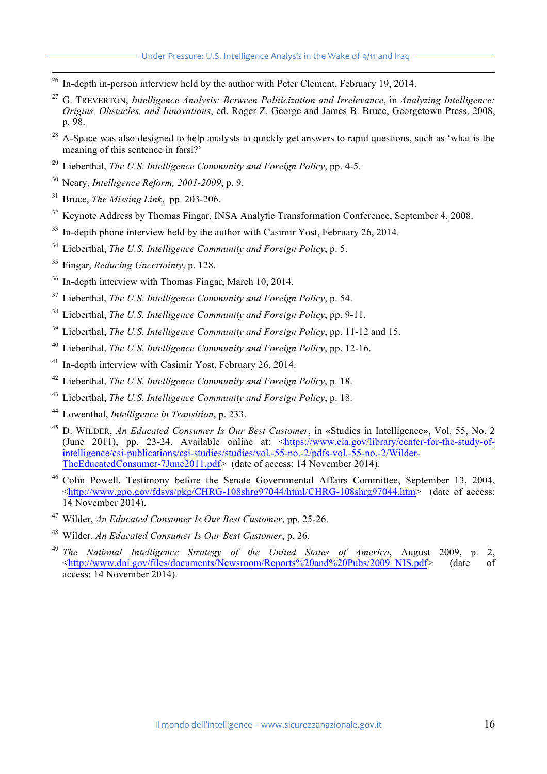- $26$  In-depth in-person interview held by the author with Peter Clement, February 19, 2014.
- <sup>27</sup> G. TREVERTON, *Intelligence Analysis: Between Politicization and Irrelevance*, in *Analyzing Intelligence: Origins, Obstacles, and Innovations*, ed. Roger Z. George and James B. Bruce, Georgetown Press, 2008, p. 98.
- <sup>28</sup> A-Space was also designed to help analysts to quickly get answers to rapid questions, such as 'what is the meaning of this sentence in farsi?<sup>'</sup>
- <sup>29</sup> Lieberthal, *The U.S. Intelligence Community and Foreign Policy*, pp. 4-5.
- <sup>30</sup> Neary, *Intelligence Reform, 2001-2009*, p. 9.
- <sup>31</sup> Bruce, *The Missing Link*, pp. 203-206.
- <sup>32</sup> Keynote Address by Thomas Fingar, INSA Analytic Transformation Conference, September 4, 2008.
- $33$  In-depth phone interview held by the author with Casimir Yost, February 26, 2014.
- <sup>34</sup> Lieberthal, *The U.S. Intelligence Community and Foreign Policy*, p. 5.
- <sup>35</sup> Fingar, *Reducing Uncertainty*, p. 128.
- <sup>36</sup> In-depth interview with Thomas Fingar, March 10, 2014.
- <sup>37</sup> Lieberthal, *The U.S. Intelligence Community and Foreign Policy*, p. 54.
- <sup>38</sup> Lieberthal, *The U.S. Intelligence Community and Foreign Policy*, pp. 9-11.
- <sup>39</sup> Lieberthal, *The U.S. Intelligence Community and Foreign Policy*, pp. 11-12 and 15.
- <sup>40</sup> Lieberthal, *The U.S. Intelligence Community and Foreign Policy*, pp. 12-16.
- <sup>41</sup> In-depth interview with Casimir Yost, February 26, 2014.
- <sup>42</sup> Lieberthal, *The U.S. Intelligence Community and Foreign Policy*, p. 18.
- <sup>43</sup> Lieberthal, *The U.S. Intelligence Community and Foreign Policy*, p. 18.
- <sup>44</sup> Lowenthal, *Intelligence in Transition*, p. 233.
- <sup>45</sup> D. WILDER, *An Educated Consumer Is Our Best Customer*, in «Studies in Intelligence», Vol. 55, No. 2 (June 2011), pp. 23-24. Available online at: <https://www.cia.gov/library/center-for-the-study-ofintelligence/csi-publications/csi-studies/studies/vol.-55-no.-2/pdfs-vol.-55-no.-2/Wilder-TheEducatedConsumer-7June2011.pdf> (date of access: 14 November 2014).
- <sup>46</sup> Colin Powell, Testimony before the Senate Governmental Affairs Committee, September 13, 2004, <http://www.gpo.gov/fdsys/pkg/CHRG-108shrg97044/html/CHRG-108shrg97044.htm> (date of access: 14 November 2014).
- <sup>47</sup> Wilder, *An Educated Consumer Is Our Best Customer*, pp. 25-26.
- <sup>48</sup> Wilder, *An Educated Consumer Is Our Best Customer*, p. 26.
- <sup>49</sup> *The National Intelligence Strategy of the United States of America*, August 2009, p. 2, <http://www.dni.gov/files/documents/Newsroom/Reports%20and%20Pubs/2009\_NIS.pdf> (date of access: 14 November 2014).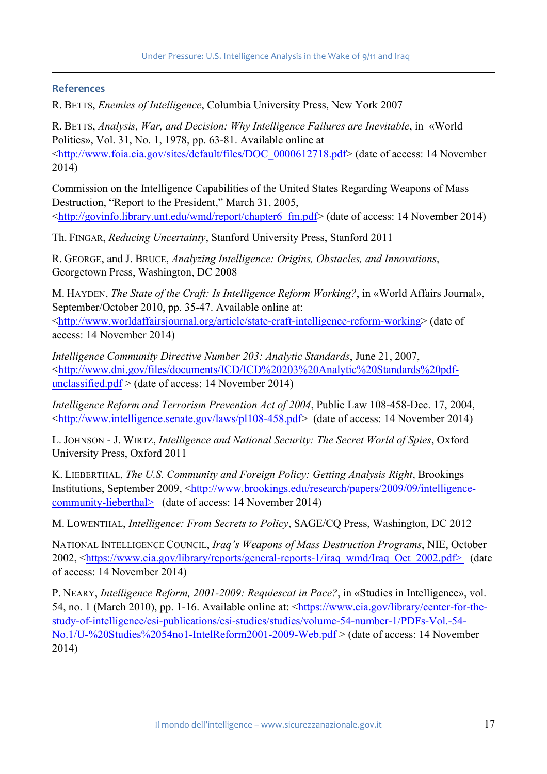#### **References**

 $\overline{a}$ 

R. BETTS, *Enemies of Intelligence*, Columbia University Press, New York 2007

R. BETTS, *Analysis, War, and Decision: Why Intelligence Failures are Inevitable*, in «World Politics», Vol. 31, No. 1, 1978, pp. 63-81. Available online at <http://www.foia.cia.gov/sites/default/files/DOC\_0000612718.pdf> (date of access: 14 November 2014)

Commission on the Intelligence Capabilities of the United States Regarding Weapons of Mass Destruction, "Report to the President," March 31, 2005, <http://govinfo.library.unt.edu/wmd/report/chapter6\_fm.pdf> (date of access: 14 November 2014)

Th. FINGAR, *Reducing Uncertainty*, Stanford University Press, Stanford 2011

R. GEORGE, and J. BRUCE, *Analyzing Intelligence: Origins, Obstacles, and Innovations*, Georgetown Press, Washington, DC 2008

M. HAYDEN, *The State of the Craft: Is Intelligence Reform Working?*, in «World Affairs Journal», September/October 2010, pp. 35-47. Available online at:

<http://www.worldaffairsjournal.org/article/state-craft-intelligence-reform-working> (date of access: 14 November 2014)

*Intelligence Community Directive Number 203: Analytic Standards*, June 21, 2007, <http://www.dni.gov/files/documents/ICD/ICD%20203%20Analytic%20Standards%20pdfunclassified.pdf  $>$  (date of access: 14 November 2014)

*Intelligence Reform and Terrorism Prevention Act of 2004*, Public Law 108-458-Dec. 17, 2004, <http://www.intelligence.senate.gov/laws/pl108-458.pdf> (date of access: 14 November 2014)

L. JOHNSON - J. WIRTZ, *Intelligence and National Security: The Secret World of Spies*, Oxford University Press, Oxford 2011

K. LIEBERTHAL, *The U.S. Community and Foreign Policy: Getting Analysis Right*, Brookings Institutions, September 2009, <http://www.brookings.edu/research/papers/2009/09/intelligencecommunity-lieberthal> (date of access: 14 November 2014)

M. LOWENTHAL, *Intelligence: From Secrets to Policy*, SAGE/CQ Press, Washington, DC 2012

NATIONAL INTELLIGENCE COUNCIL, *Iraq's Weapons of Mass Destruction Programs*, NIE, October 2002, <https://www.cia.gov/library/reports/general-reports-1/iraq\_wmd/Iraq\_Oct\_2002.pdf> (date of access: 14 November 2014)

P. NEARY, *Intelligence Reform, 2001-2009: Requiescat in Pace?*, in «Studies in Intelligence», vol. 54, no. 1 (March 2010), pp. 1-16. Available online at: <https://www.cia.gov/library/center-for-thestudy-of-intelligence/csi-publications/csi-studies/studies/volume-54-number-1/PDFs-Vol.-54- No.1/U-%20Studies%2054no1-IntelReform2001-2009-Web.pdf > (date of access: 14 November 2014)